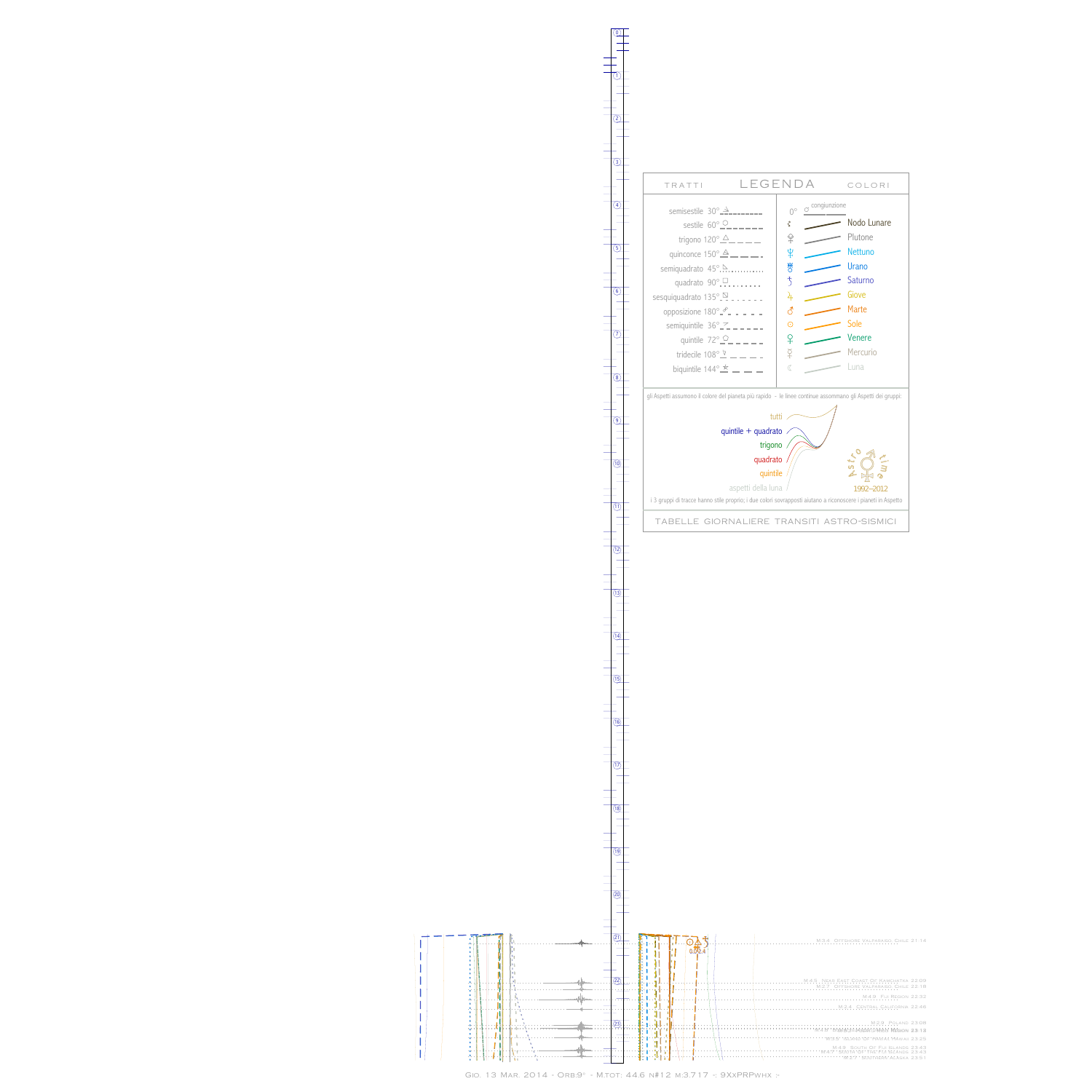I  $\begin{array}{c} \rule{0pt}{2ex} \rule{0pt}{2ex} \rule{0pt}{2ex} \rule{0pt}{2ex} \rule{0pt}{2ex} \rule{0pt}{2ex} \rule{0pt}{2ex} \rule{0pt}{2ex} \rule{0pt}{2ex} \rule{0pt}{2ex} \rule{0pt}{2ex} \rule{0pt}{2ex} \rule{0pt}{2ex} \rule{0pt}{2ex} \rule{0pt}{2ex} \rule{0pt}{2ex} \rule{0pt}{2ex} \rule{0pt}{2ex} \rule{0pt}{2ex} \rule{0pt}{2ex} \rule{0pt}{2ex} \rule{0pt}{2ex} \rule{0pt}{2ex} \rule{0pt}{$  $\overline{\phantom{a}}$  $\vert$  $\vert$  $\begin{array}{c} \hline \end{array}$ 

 $\frac{1}{1}$ 

 $\frac{1}{1}$